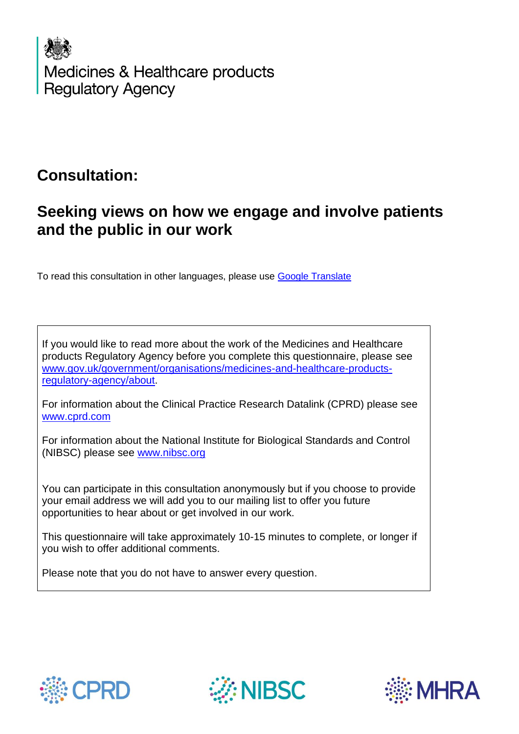

## **Consultation:**

# **Seeking views on how we engage and involve patients and the public in our work**

To read this consultation in other languages, please use [Google Translate](https://translate.google.co.uk/)

If you would like to read more about the work of the Medicines and Healthcare products Regulatory Agency before you complete this questionnaire, please see [www.gov.uk/government/organisations/medicines-and-healthcare-products](http://www.gov.uk/government/organisations/medicines-and-healthcare-products-regulatory-agency/about)[regulatory-agency/about.](http://www.gov.uk/government/organisations/medicines-and-healthcare-products-regulatory-agency/about)

For information about the Clinical Practice Research Datalink (CPRD) please see [www.cprd.com](http://www.cprd.com/)

For information about the National Institute for Biological Standards and Control (NIBSC) please see [www.nibsc.org](http://www.nibsc.org/)

You can participate in this consultation anonymously but if you choose to provide your email address we will add you to our mailing list to offer you future opportunities to hear about or get involved in our work.

This questionnaire will take approximately 10-15 minutes to complete, or longer if you wish to offer additional comments.

Please note that you do not have to answer every question.





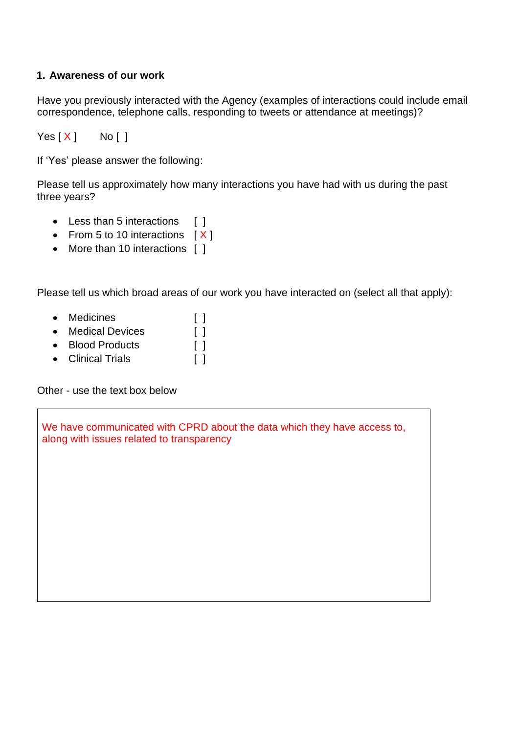### **1. Awareness of our work**

Have you previously interacted with the Agency (examples of interactions could include email correspondence, telephone calls, responding to tweets or attendance at meetings)?

 $Yes[X]$  No [ ]

If 'Yes' please answer the following:

Please tell us approximately how many interactions you have had with us during the past three years?

- Less than 5 interactions [ ]
- From 5 to 10 interactions [X]
- More than 10 interactions [ ]

Please tell us which broad areas of our work you have interacted on (select all that apply):

- Medicines [ ]
- Medical Devices [ ]
- Blood Products [ ]
- Clinical Trials [ ]

Other - use the text box below

We have communicated with CPRD about the data which they have access to, along with issues related to transparency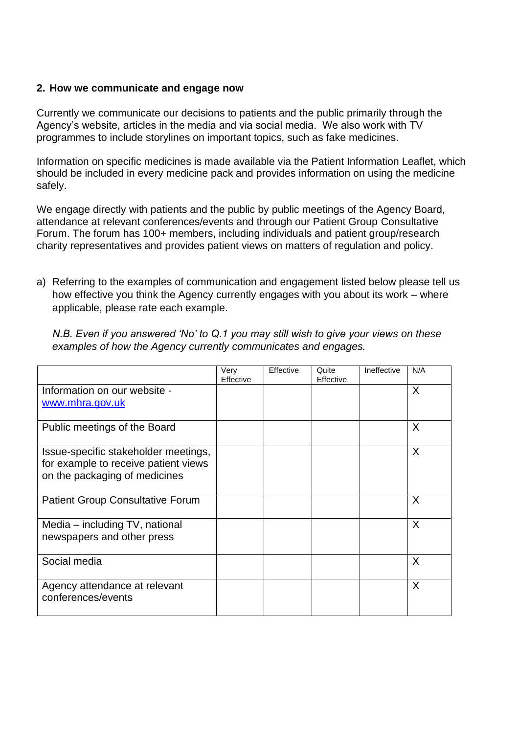#### **2. How we communicate and engage now**

Currently we communicate our decisions to patients and the public primarily through the Agency's website, articles in the media and via social media. We also work with TV programmes to include storylines on important topics, such as fake medicines.

Information on specific medicines is made available via the Patient Information Leaflet, which should be included in every medicine pack and provides information on using the medicine safely.

We engage directly with patients and the public by public meetings of the Agency Board, attendance at relevant conferences/events and through our Patient Group Consultative Forum. The forum has 100+ members, including individuals and patient group/research charity representatives and provides patient views on matters of regulation and policy.

a) Referring to the examples of communication and engagement listed below please tell us how effective you think the Agency currently engages with you about its work – where applicable, please rate each example.

*N.B. Even if you answered 'No' to Q.1 you may still wish to give your views on these examples of how the Agency currently communicates and engages.* 

|                                                                              | Very<br>Effective | Effective | Quite<br>Effective | Ineffective | N/A |
|------------------------------------------------------------------------------|-------------------|-----------|--------------------|-------------|-----|
| Information on our website -                                                 |                   |           |                    |             | X   |
| www.mhra.gov.uk                                                              |                   |           |                    |             |     |
| Public meetings of the Board                                                 |                   |           |                    |             | X   |
| Issue-specific stakeholder meetings,<br>for example to receive patient views |                   |           |                    |             | X   |
| on the packaging of medicines                                                |                   |           |                    |             |     |
|                                                                              |                   |           |                    |             |     |
| <b>Patient Group Consultative Forum</b>                                      |                   |           |                    |             | X   |
| Media – including TV, national                                               |                   |           |                    |             | X   |
| newspapers and other press                                                   |                   |           |                    |             |     |
| Social media                                                                 |                   |           |                    |             | X   |
| Agency attendance at relevant<br>conferences/events                          |                   |           |                    |             | X   |
|                                                                              |                   |           |                    |             |     |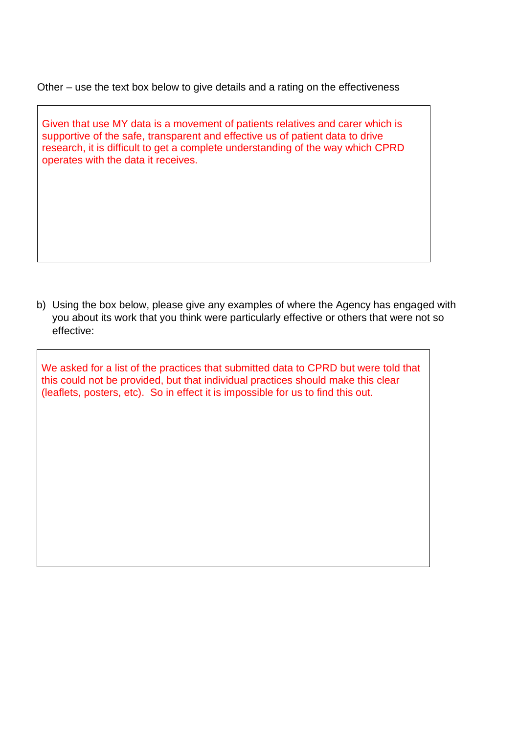Other – use the text box below to give details and a rating on the effectiveness

Given that use MY data is a movement of patients relatives and carer which is supportive of the safe, transparent and effective us of patient data to drive research, it is difficult to get a complete understanding of the way which CPRD operates with the data it receives.

b) Using the box below, please give any examples of where the Agency has engaged with you about its work that you think were particularly effective or others that were not so effective:

We asked for a list of the practices that submitted data to CPRD but were told that this could not be provided, but that individual practices should make this clear (leaflets, posters, etc). So in effect it is impossible for us to find this out.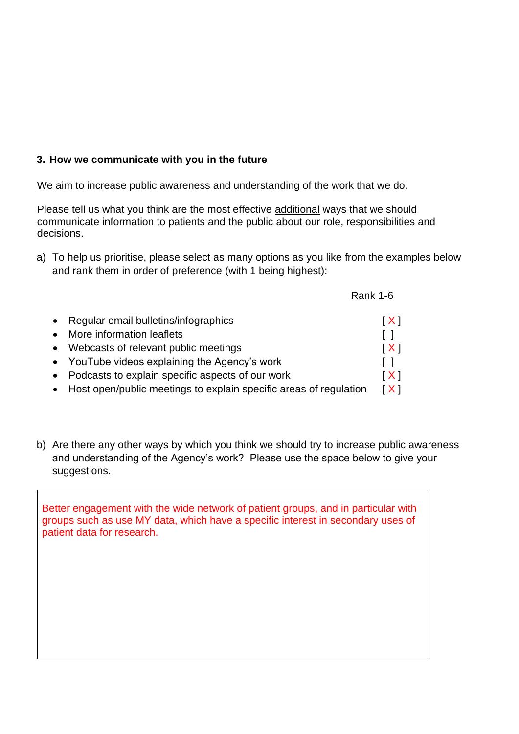#### **3. How we communicate with you in the future**

We aim to increase public awareness and understanding of the work that we do.

Please tell us what you think are the most effective additional ways that we should communicate information to patients and the public about our role, responsibilities and decisions.

a) To help us prioritise, please select as many options as you like from the examples below and rank them in order of preference (with 1 being highest):

|                                               | <b>Rank 1-6</b> |
|-----------------------------------------------|-----------------|
| • Regular email bulletins/infographics        | [X]             |
| • More information leaflets                   |                 |
| • Webcasts of relevant public meetings        | [X]             |
| • YouTube videos explaining the Agency's work |                 |

- Podcasts to explain specific aspects of our work  $[X]$
- Host open/public meetings to explain specific areas of regulation  $[X]$
- b) Are there any other ways by which you think we should try to increase public awareness and understanding of the Agency's work? Please use the space below to give your suggestions.

Better engagement with the wide network of patient groups, and in particular with groups such as use MY data, which have a specific interest in secondary uses of patient data for research.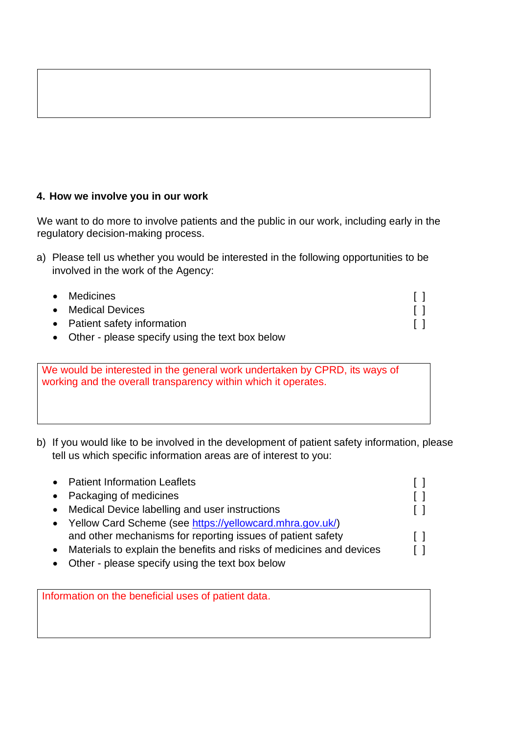#### **4. How we involve you in our work**

We want to do more to involve patients and the public in our work, including early in the regulatory decision-making process.

a) Please tell us whether you would be interested in the following opportunities to be involved in the work of the Agency:

| • Medicines                                       |  |
|---------------------------------------------------|--|
| • Medical Devices                                 |  |
| • Patient safety information                      |  |
| A Other - please specify using the text hov helow |  |

• Other - please specify using the text box below

We would be interested in the general work undertaken by CPRD, its ways of working and the overall transparency within which it operates.

b) If you would like to be involved in the development of patient safety information, please tell us which specific information areas are of interest to you:

| $\bullet$ | <b>Patient Information Leaflets</b>                                  |         |
|-----------|----------------------------------------------------------------------|---------|
| $\bullet$ | Packaging of medicines                                               | $\Box$  |
| $\bullet$ | Medical Device labelling and user instructions                       | $\perp$ |
|           | • Yellow Card Scheme (see https://yellowcard.mhra.gov.uk/)           |         |
|           | and other mechanisms for reporting issues of patient safety          | $\Box$  |
|           | Materials to explain the benefits and risks of medicines and devices |         |
|           | Other - please specify using the text box below                      |         |

Information on the beneficial uses of patient data.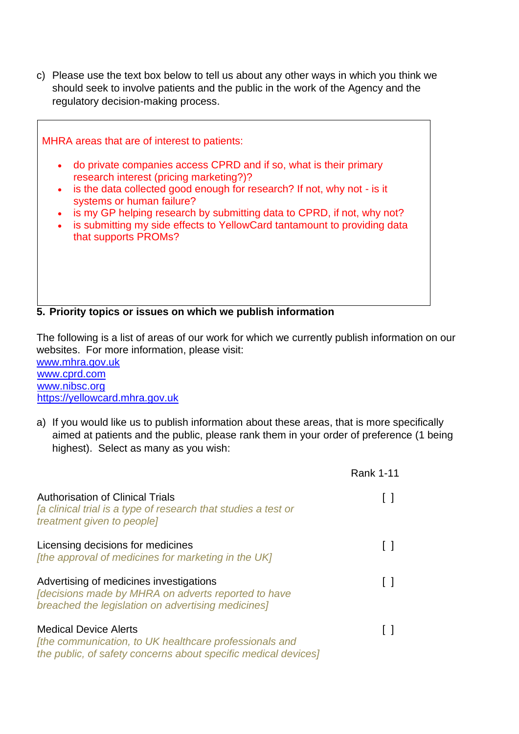c) Please use the text box below to tell us about any other ways in which you think we should seek to involve patients and the public in the work of the Agency and the regulatory decision-making process.

MHRA areas that are of interest to patients: • do private companies access CPRD and if so, what is their primary research interest (pricing marketing?)? • is the data collected good enough for research? If not, why not - is it systems or human failure? • is my GP helping research by submitting data to CPRD, if not, why not? • is submitting my side effects to YellowCard tantamount to providing data that supports PROMs?

**5. Priority topics or issues on which we publish information** 

The following is a list of areas of our work for which we currently publish information on our websites. For more information, please visit:

[www.mhra.gov.uk](http://www.mhra.gov.uk/) [www.cprd.com](http://www.cprd.com/) [www.nibsc.org](http://www.nibsc.org/) [https://yellowcard.mhra.gov.uk](https://yellowcard.mhra.gov.uk/)

a) If you would like us to publish information about these areas, that is more specifically aimed at patients and the public, please rank them in your order of preference (1 being highest). Select as many as you wish:

|                                                                                                                                                             | <b>Rank 1-11</b> |
|-------------------------------------------------------------------------------------------------------------------------------------------------------------|------------------|
| <b>Authorisation of Clinical Trials</b><br>Ja clinical trial is a type of research that studies a test or<br>treatment given to people]                     |                  |
| Licensing decisions for medicines<br>[the approval of medicines for marketing in the UK]                                                                    |                  |
| Advertising of medicines investigations<br><b>Idecisions made by MHRA on adverts reported to have</b><br>breached the legislation on advertising medicines] |                  |
| <b>Medical Device Alerts</b><br>[the communication, to UK healthcare professionals and<br>the public, of safety concerns about specific medical devices]    |                  |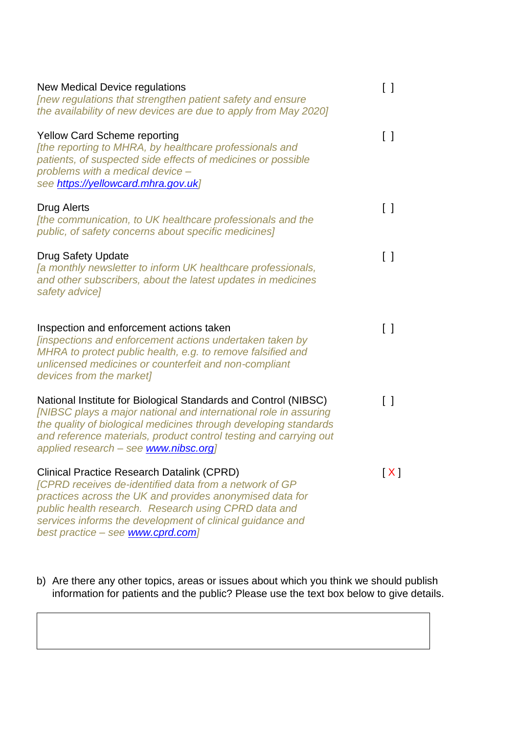| New Medical Device regulations<br>[new regulations that strengthen patient safety and ensure<br>the availability of new devices are due to apply from May 2020]                                                                                                                                                                          | $\begin{smallmatrix} \end{smallmatrix}$ |
|------------------------------------------------------------------------------------------------------------------------------------------------------------------------------------------------------------------------------------------------------------------------------------------------------------------------------------------|-----------------------------------------|
| <b>Yellow Card Scheme reporting</b><br>[the reporting to MHRA, by healthcare professionals and<br>patients, of suspected side effects of medicines or possible<br>problems with a medical device -<br>see https://yellowcard.mhra.gov.uk]                                                                                                | $\begin{smallmatrix} \end{smallmatrix}$ |
| <b>Drug Alerts</b><br>[the communication, to UK healthcare professionals and the<br>public, of safety concerns about specific medicines]                                                                                                                                                                                                 | $\begin{bmatrix} \end{bmatrix}$         |
| <b>Drug Safety Update</b><br>[a monthly newsletter to inform UK healthcare professionals,<br>and other subscribers, about the latest updates in medicines<br>safety advice]                                                                                                                                                              | $\Box$                                  |
| Inspection and enforcement actions taken<br><i><b>[inspections and enforcement actions undertaken taken by</b></i><br>MHRA to protect public health, e.g. to remove falsified and<br>unlicensed medicines or counterfeit and non-compliant<br>devices from the market]                                                                   | $\Box$                                  |
| National Institute for Biological Standards and Control (NIBSC)<br>[NIBSC plays a major national and international role in assuring<br>the quality of biological medicines through developing standards<br>and reference materials, product control testing and carrying out<br>applied research - see www.nibsc.org]                    | $\Box$                                  |
| <b>Clinical Practice Research Datalink (CPRD)</b><br><b>[CPRD receives de-identified data from a network of GP</b><br>practices across the UK and provides anonymised data for<br>public health research. Research using CPRD data and<br>services informs the development of clinical guidance and<br>best practice - see www.cprd.com] | [X]                                     |

b) Are there any other topics, areas or issues about which you think we should publish information for patients and the public? Please use the text box below to give details.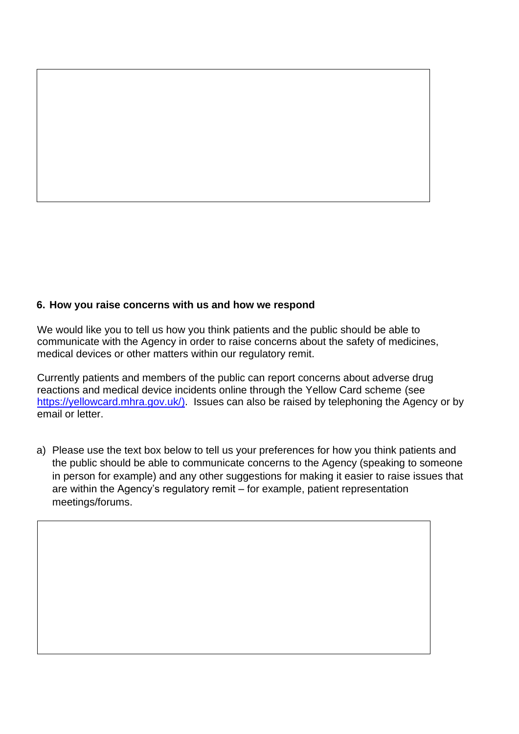#### **6. How you raise concerns with us and how we respond**

We would like you to tell us how you think patients and the public should be able to communicate with the Agency in order to raise concerns about the safety of medicines, medical devices or other matters within our regulatory remit.

Currently patients and members of the public can report concerns about adverse drug reactions and medical device incidents online through the Yellow Card scheme (see [https://yellowcard.mhra.gov.uk/\)](https://yellowcard.mhra.gov.uk/). Issues can also be raised by telephoning the Agency or by email or letter.

a) Please use the text box below to tell us your preferences for how you think patients and the public should be able to communicate concerns to the Agency (speaking to someone in person for example) and any other suggestions for making it easier to raise issues that are within the Agency's regulatory remit – for example, patient representation meetings/forums.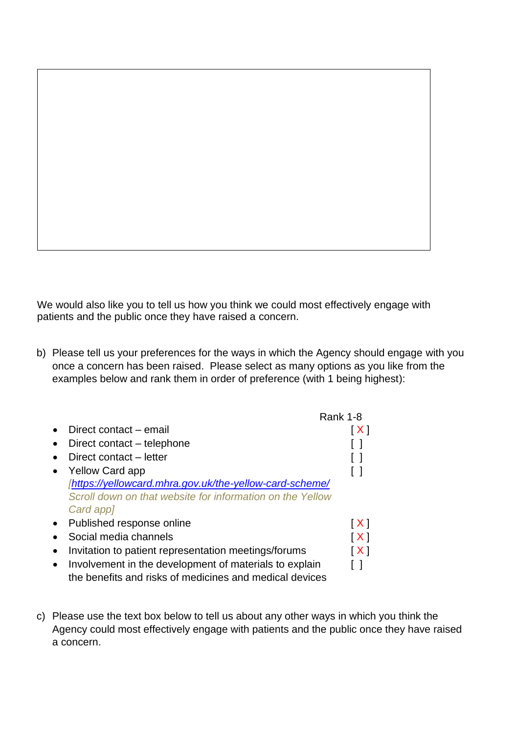We would also like you to tell us how you think we could most effectively engage with patients and the public once they have raised a concern.

b) Please tell us your preferences for the ways in which the Agency should engage with you once a concern has been raised. Please select as many options as you like from the examples below and rank them in order of preference (with 1 being highest):

|           |                                                           | <b>Rank 1-8</b>     |
|-----------|-----------------------------------------------------------|---------------------|
|           | Direct contact – email                                    | $\lfloor x \rfloor$ |
| $\bullet$ | Direct contact – telephone                                |                     |
|           | Direct contact – letter                                   |                     |
|           | <b>Yellow Card app</b>                                    |                     |
|           | [https://yellowcard.mhra.gov.uk/the-yellow-card-scheme/   |                     |
|           | Scroll down on that website for information on the Yellow |                     |
|           | Card app]                                                 |                     |
| $\bullet$ | Published response online                                 | [X]                 |
|           | Social media channels                                     | [X]                 |
|           | Invitation to patient representation meetings/forums      | X                   |
|           | Involvement in the development of materials to explain    |                     |
|           | the benefits and risks of medicines and medical devices   |                     |

c) Please use the text box below to tell us about any other ways in which you think the Agency could most effectively engage with patients and the public once they have raised a concern.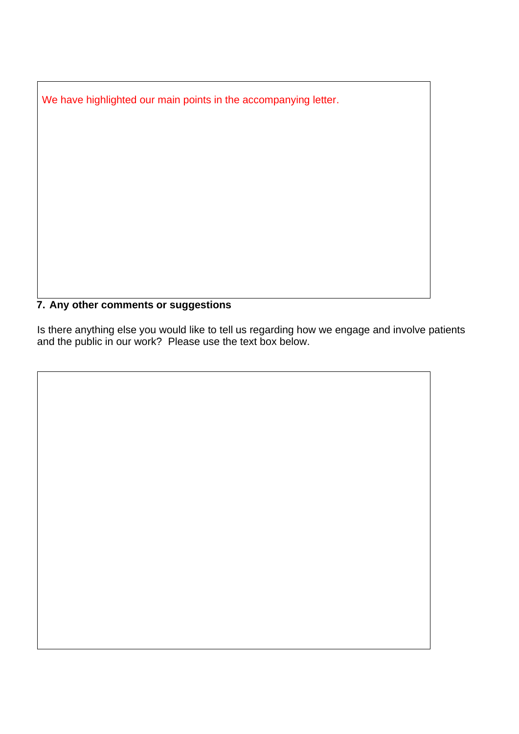We have highlighted our main points in the accompanying letter.

### **7. Any other comments or suggestions**

Is there anything else you would like to tell us regarding how we engage and involve patients and the public in our work? Please use the text box below.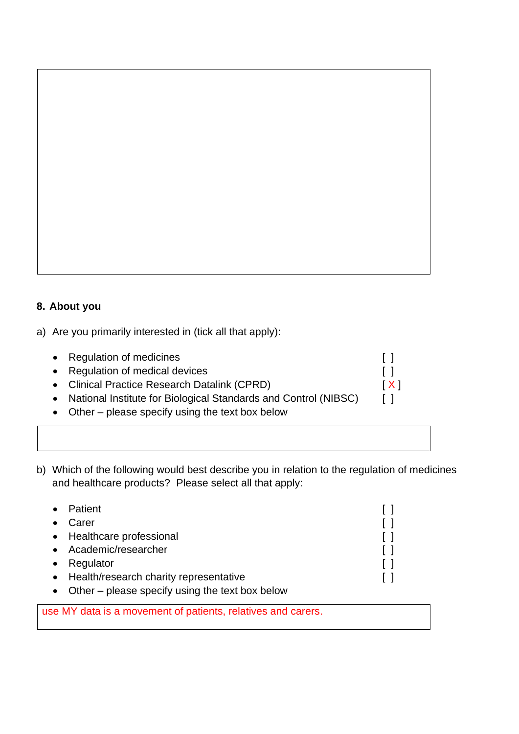

a) Are you primarily interested in (tick all that apply):

| • Regulation of medicines                                         |                   |
|-------------------------------------------------------------------|-------------------|
| • Regulation of medical devices                                   | $\Box$            |
| • Clinical Practice Research Datalink (CPRD)                      | $\lceil X \rceil$ |
| • National Institute for Biological Standards and Control (NIBSC) | $\Box$            |
| • Other – please specify using the text box below                 |                   |
|                                                                   |                   |

b) Which of the following would best describe you in relation to the regulation of medicines and healthcare products? Please select all that apply:

|           | Patient                                         | $\mathbf{1}$ |
|-----------|-------------------------------------------------|--------------|
|           | Carer                                           | $\Box$       |
|           | • Healthcare professional                       | $\mathbf{1}$ |
| $\bullet$ | Academic/researcher                             |              |
|           | Regulator                                       | $\Box$       |
| $\bullet$ | Health/research charity representative          |              |
|           | Other – please specify using the text box below |              |

use MY data is a movement of patients, relatives and carers.